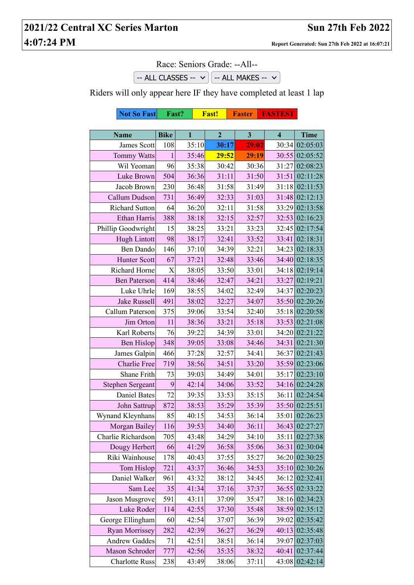## **2021/22 Central XC Series Marton Sun 27th Feb 2022 4:07:24 PM Report Generated: Sun 27th Feb 2022 at 16:07:21**

Race: Seniors Grade: --All--

 $-$  ALL CLASSES  $\vee$   $\circ$   $-$  ALL MAKES  $\vee$ 

Riders will only appear here IF they have completed at least 1 lap

|                         | <b>Not So Fast</b><br>Fast? |              |       | Fast!          | <b>Faster</b>           | <b>FASTEST</b>          |                |
|-------------------------|-----------------------------|--------------|-------|----------------|-------------------------|-------------------------|----------------|
|                         |                             |              |       |                |                         |                         |                |
| <b>Name</b>             | <b>Bike</b>                 | $\mathbf{1}$ |       | $\overline{2}$ | $\overline{\mathbf{3}}$ | $\overline{\mathbf{4}}$ | <b>Time</b>    |
| James Scott             | 108                         |              | 35:10 | 30:17          | 29:02                   | 30:34                   | 02:05:03       |
| <b>Tommy Watts</b>      | $\mathbf{1}$                |              | 35:46 | 29:52          | 29:19                   |                         | 30:55 02:05:52 |
| Wil Yeoman              | 96                          |              | 35:38 | 30:42          | 30:36                   | 31:27                   | 02:08:23       |
| Luke Brown              | 504                         |              | 36:36 | 31:11          | 31:50                   | 31:51                   | 02:11:28       |
| Jacob Brown             | 230                         |              | 36:48 | 31:58          | 31:49                   | 31:18                   | 02:11:53       |
| Callum Dudson           | 731                         |              | 36:49 | 32:33          | 31:03                   |                         | 31:48 02:12:13 |
| <b>Richard Sutton</b>   | 64                          |              | 36:20 | 32:11          | 31:58                   | 33:29                   | 02:13:58       |
| Ethan Harris            | 388                         |              | 38:18 | 32:15          | 32:57                   | 32:53                   | 02:16:23       |
| Phillip Goodwright      | 15                          |              | 38:25 | 33:21          | 33:23                   | 32:45                   | 02:17:54       |
| Hugh Lintott            | 98                          |              | 38:17 | 32:41          | 33:52                   | 33:41                   | 02:18:31       |
| Ben Dando               | 146                         |              | 37:10 | 34:39          | 32:21                   | 34:23                   | 02:18:33       |
| <b>Hunter Scott</b>     | 67                          |              | 37:21 | 32:48          | 33:46                   |                         | 34:40 02:18:35 |
| Richard Horne           | X                           |              | 38:05 | 33:50          | 33:01                   | 34:18                   | 02:19:14       |
| <b>Ben Paterson</b>     | 414                         |              | 38:46 | 32:47          | 34:21                   | 33:27                   | 02:19:21       |
| Luke Uhrle              | 169                         |              | 38:55 | 34:02          | 32:49                   | 34:37                   | 02:20:23       |
| <b>Jake Russell</b>     | 491                         |              | 38:02 | 32:27          | 34:07                   |                         | 35:50 02:20:26 |
| Callum Paterson         | 375                         |              | 39:06 | 33:54          | 32:40                   | 35:18                   | 02:20:58       |
| Jim Orton               | 11                          |              | 38:36 | 33:21          | 35:18                   | 33:53                   | 02:21:08       |
| Karl Roberts            | 76                          |              | 39:22 | 34:39          | 33:01                   | 34:20                   | 02:21:22       |
| <b>Ben Hislop</b>       | 348                         |              | 39:05 | 33:08          | 34:46                   | 34:31                   | 02:21:30       |
| James Galpin            | 466                         |              | 37:28 | 32:57          | 34:41                   | 36:37                   | 02:21:43       |
| Charlie Free            | 719                         |              | 38:56 | 34:51          | 33:20                   |                         | 35:59 02:23:06 |
| Shane Frith             | 73                          |              | 39:03 | 34:49          | 34:01                   | 35:17                   | 02:23:10       |
| <b>Stephen Sergeant</b> | 9                           |              | 42:14 | 34:06          | 33:52                   |                         | 34:16 02:24:28 |
| Daniel Bates            | 72                          |              | 39:35 | 33:53          | 35:15                   | 36:11                   | 02:24:54       |
| John Sattrup            | 872                         |              | 38:53 | 35:29          | 35:39                   | 35:50                   | 02:25:51       |
| Wynand Kleynhans        | 85                          |              | 40:15 | 34:53          | 36:14                   | 35:01                   | 02:26:23       |
| Morgan Bailey           | 116                         |              | 39:53 | 34:40          | 36:11                   | 36:43                   | 02:27:27       |
| Charlie Richardson      | 705                         |              | 43:48 | 34:29          | 34:10                   | 35:11                   | 02:27:38       |
| Dougy Herbert           | 66                          |              | 41:29 | 36:58          | 35:06                   | 36:31                   | 02:30:04       |
| Riki Wainhouse          | 178                         |              | 40:43 | 37:55          | 35:27                   |                         | 36:20 02:30:25 |
| Tom Hislop              | 721                         |              | 43:37 | 36:46          | 34:53                   | 35:10                   | 02:30:26       |
| Daniel Walker           | 961                         |              | 43:32 | 38:12          | 34:45                   | 36:12                   | 02:32:41       |
| Sam Lee                 | 35                          |              | 41:34 | 37:16          | 37:37                   | 36:55                   | 02:33:22       |
| Jason Musgrove          | 591                         |              | 43:11 | 37:09          | 35:47                   | 38:16                   | 02:34:23       |
| Luke Roder              | 114                         |              | 42:55 | 37:30          | 35:48                   | 38:59                   | 02:35:12       |
| George Ellingham        | 60                          |              | 42:54 | 37:07          | 36:39                   | 39:02                   | 02:35:42       |
| <b>Ryan Morrissey</b>   | 282                         |              | 42:39 | 36:27          | 36:29                   | 40:13                   | 02:35:48       |
| <b>Andrew Gaddes</b>    | 71                          |              | 42:51 | 38:51          | 36:14                   | 39:07                   | 02:37:03       |
| Mason Schroder          | 777                         |              | 42:56 | 35:35          | 38:32                   | 40:41                   | 02:37:44       |
| <b>Charlotte Russ</b>   | 238                         |              | 43:49 | 38:06          | 37:11                   | 43:08                   | 02:42:14       |
|                         |                             |              |       |                |                         |                         |                |